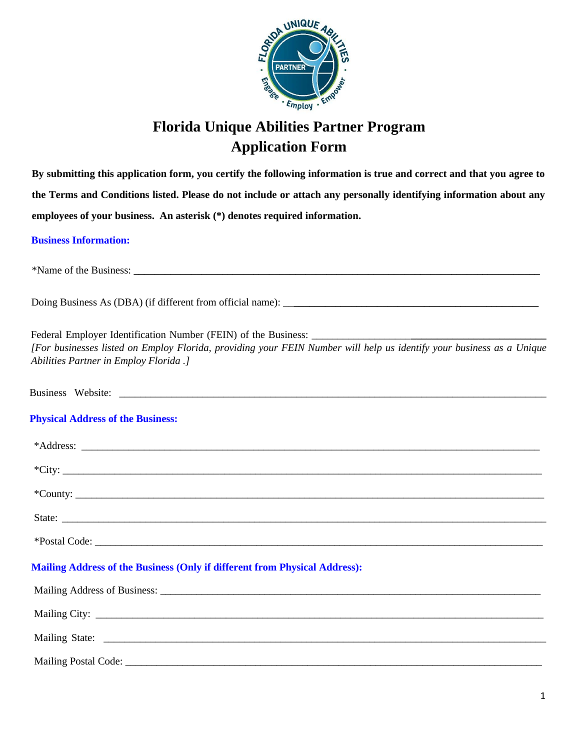

# **Florida Unique Abilities Partner Program Application Form**

**By submitting this application form, you certify the following information is true and correct and that you agree to the Terms and Conditions listed. Please do not include or attach any personally identifying information about any employees of your business. An asterisk (\*) denotes required information.** 

## **Business Information:**

| [For businesses listed on Employ Florida, providing your FEIN Number will help us identify your business as a Unique<br>Abilities Partner in Employ Florida .]                                                                 |
|--------------------------------------------------------------------------------------------------------------------------------------------------------------------------------------------------------------------------------|
|                                                                                                                                                                                                                                |
| <b>Physical Address of the Business:</b>                                                                                                                                                                                       |
| *Address: The Commission of the Commission of the Commission of the Commission of the Commission of the Commission of the Commission of the Commission of the Commission of the Commission of the Commission of the Commission |
| $\text{TCity:}\_\_\_\_\_\_\$                                                                                                                                                                                                   |
|                                                                                                                                                                                                                                |
|                                                                                                                                                                                                                                |
|                                                                                                                                                                                                                                |
| <b>Mailing Address of the Business (Only if different from Physical Address):</b>                                                                                                                                              |
|                                                                                                                                                                                                                                |
|                                                                                                                                                                                                                                |
|                                                                                                                                                                                                                                |
| Mailing Postal Code:                                                                                                                                                                                                           |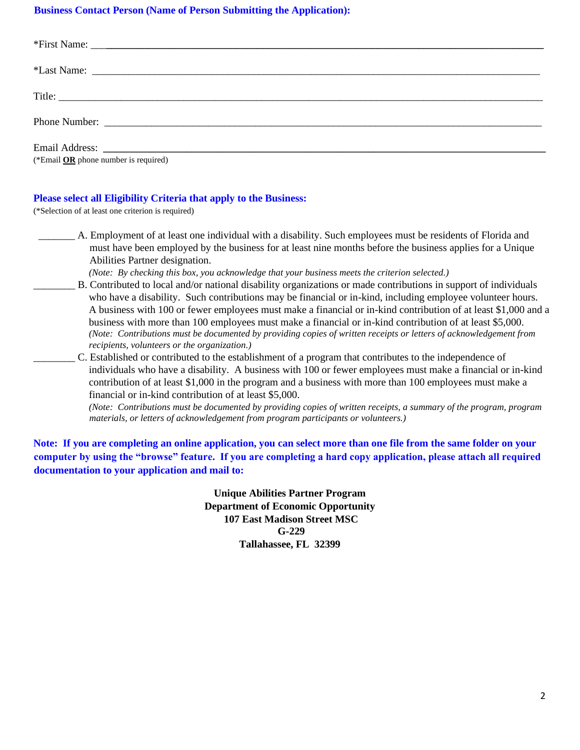# **Business Contact Person (Name of Person Submitting the Application):**

| (*Email $OR$ phone number is required) |
|----------------------------------------|

#### **Please select all Eligibility Criteria that apply to the Business:**

(\*Selection of at least one criterion is required)

\_\_\_\_\_\_\_ A. Employment of at least one individual with a disability. Such employees must be residents of Florida and must have been employed by the business for at least nine months before the business applies for a Unique Abilities Partner designation.

*(Note: By checking this box, you acknowledge that your business meets the criterion selected.)* 

- \_\_\_\_\_\_\_\_ B. Contributed to local and/or national disability organizations or made contributions in support of individuals who have a disability. Such contributions may be financial or in-kind, including employee volunteer hours. A business with 100 or fewer employees must make a financial or in-kind contribution of at least \$1,000 and a business with more than 100 employees must make a financial or in-kind contribution of at least \$5,000. *(Note: Contributions must be documented by providing copies of written receipts or letters of acknowledgement from recipients, volunteers or the organization.)*
- \_\_\_\_\_\_\_\_ C. Established or contributed to the establishment of a program that contributes to the independence of individuals who have a disability. A business with 100 or fewer employees must make a financial or in-kind contribution of at least \$1,000 in the program and a business with more than 100 employees must make a financial or in-kind contribution of at least \$5,000.

*(Note: Contributions must be documented by providing copies of written receipts, a summary of the program, program materials, or letters of acknowledgement from program participants or volunteers.)* 

**Note: If you are completing an online application, you can select more than one file from the same folder on your computer by using the "browse" feature. If you are completing a hard copy application, please attach all required documentation to your application and mail to:** 

> **Unique Abilities Partner Program Department of Economic Opportunity 107 East Madison Street MSC G-229 Tallahassee, FL 32399**